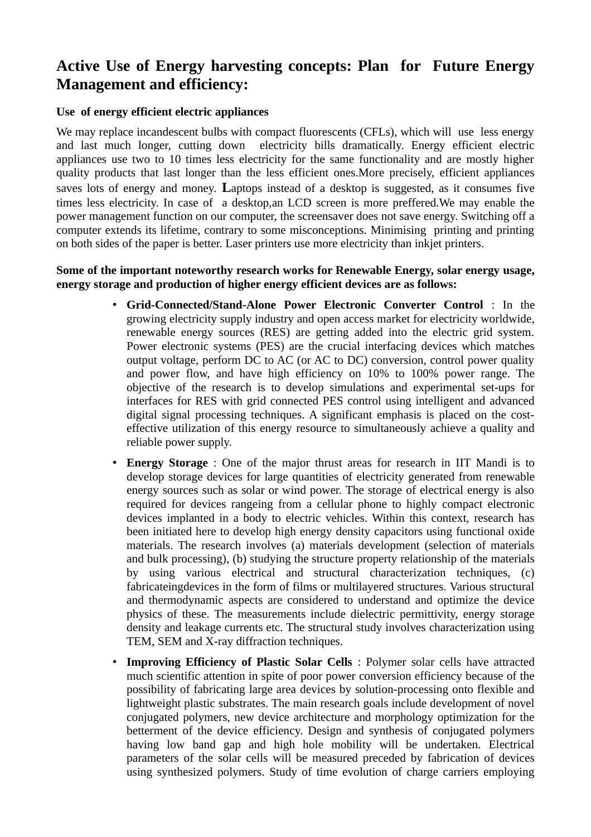## **Active Use of Energy harvesting concepts: Plan for Future Energy Management and efficiency:**

## **Use of energy efficient electric appliances**

We may replace incandescent bulbs with compact fluorescents (CFLs), which will use less energy and last much longer, cutting down electricity bills dramatically. Energy efficient electric appliances use two to 10 times less electricity for the same functionality and are mostly higher quality products that last longer than the less efficient ones.More precisely, efficient appliances saves lots of energy and money. **L**aptops instead of a desktop is suggested, as it consumes five times less electricity. In case of a desktop,an LCD screen is more preffered.We may enable the power management function on our computer, the screensaver does not save energy. Switching off a computer extends its lifetime, contrary to some misconceptions. Minimising printing and printing on both sides of the paper is better. Laser printers use more electricity than inkjet printers.

## **Some of the important noteworthy research works for Renewable Energy, solar energy usage, energy storage and production of higher energy efficient devices are as follows:**

- **Grid-Connected/Stand-Alone Power Electronic Converter Control** : In the growing electricity supply industry and open access market for electricity worldwide, renewable energy sources (RES) are getting added into the electric grid system. Power electronic systems (PES) are the crucial interfacing devices which matches output voltage, perform DC to AC (or AC to DC) conversion, control power quality and power flow, and have high efficiency on 10% to 100% power range. The objective of the research is to develop simulations and experimental set-ups for interfaces for RES with grid connected PES control using intelligent and advanced digital signal processing techniques. A significant emphasis is placed on the costeffective utilization of this energy resource to simultaneously achieve a quality and reliable power supply.
- **Energy Storage** : One of the major thrust areas for research in IIT Mandi is to develop storage devices for large quantities of electricity generated from renewable energy sources such as solar or wind power. The storage of electrical energy is also required for devices rangeing from a cellular phone to highly compact electronic devices implanted in a body to electric vehicles. Within this context, research has been initiated here to develop high energy density capacitors using functional oxide materials. The research involves (a) materials development (selection of materials and bulk processing), (b) studying the structure property relationship of the materials by using various electrical and structural characterization techniques, (c) fabricateingdevices in the form of films or multilayered structures. Various structural and thermodynamic aspects are considered to understand and optimize the device physics of these. The measurements include dielectric permittivity, energy storage density and leakage currents etc. The structural study involves characterization using TEM, SEM and X-ray diffraction techniques.
- **Improving Efficiency of Plastic Solar Cells** : Polymer solar cells have attracted much scientific attention in spite of poor power conversion efficiency because of the possibility of fabricating large area devices by solution-processing onto flexible and lightweight plastic substrates. The main research goals include development of novel conjugated polymers, new device architecture and morphology optimization for the betterment of the device efficiency. Design and synthesis of conjugated polymers having low band gap and high hole mobility will be undertaken. Electrical parameters of the solar cells will be measured preceded by fabrication of devices using synthesized polymers. Study of time evolution of charge carriers employing